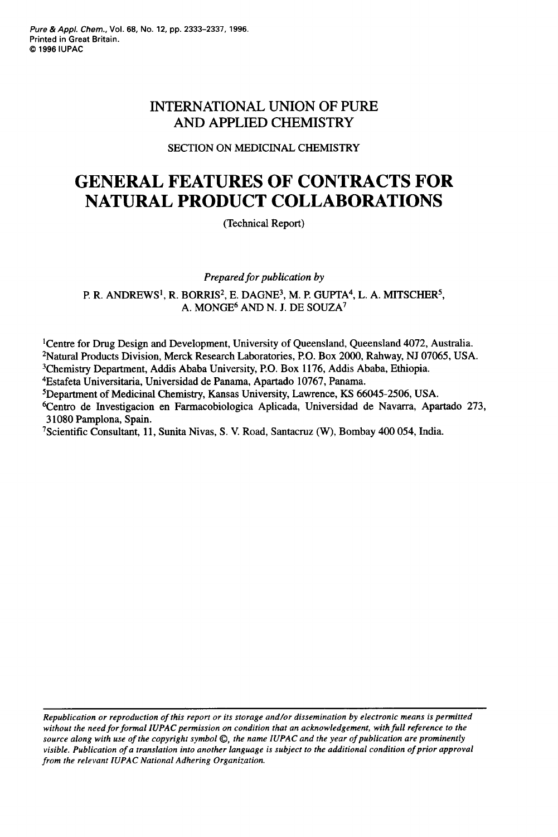*Pure* & *Appl. Chern.,* **Vol. 68, No. 12, pp. 2333-2337, 1996. Printed in Great Britain.**  Q **1996 IUPAC** 

### INTERNATIONAL UNION OF **PURE**  AND APPLIED CHEMISTRY

#### SECTION ON MEDICINAL CHEMISTRY

# **GENERAL FEATURES OF CONTRACTS FOR NATURAL PRODUCT COLLABORATIONS**

(Technical Report)

*Prepared for publication by* 

P. R. ANDREWS<sup>1</sup>, R. BORRIS<sup>2</sup>, E. DAGNE<sup>3</sup>, M. P. GUPTA<sup>4</sup>, L. A. MITSCHER<sup>5</sup>, A. MONGE6 *AND* N. J. DE SOUZA7

'Centre for Drug Design and Development, University of Queensland, Queensland 4072, Australia. 2Natural Products Division, Merck Research Laboratories, PO. Box 2000, Rahway, NJ 07065, USA. 3Chemistry Department, Addis Ababa University, P.O. Box 1176, Addis Ababa, Ethiopia.

4Estafeta Universitaria, Universidad de Panama, Apartado 10767, Panama.

'Department of Medicinal Chemistry, Kansas University, Lawrence, KS 66045-2506, USA.

6Centro de Investigacion en Farmacobiologica Aplicada, Universidad de Navarra, Apartado 273, 3 1080 Pamplona, Spain.

7Scientific Consultant, 11, **Sunita** Nivas, S. V. Road, Santacruz (W), Bombay 400 054, India.

*Republication or reproduction of this report or its storage and/or dissemination by electronic means is permitted*  without the need for formal IUPAC permission on condition that an acknowledgement, with full reference to the *source along with use of the copyright symbol 0, the name IUPAC and the year of publication are prominently visible. Publication of a translation into another language is subject to the additional condition of prior approval from the relevant IUPAC National Adhering Organization.*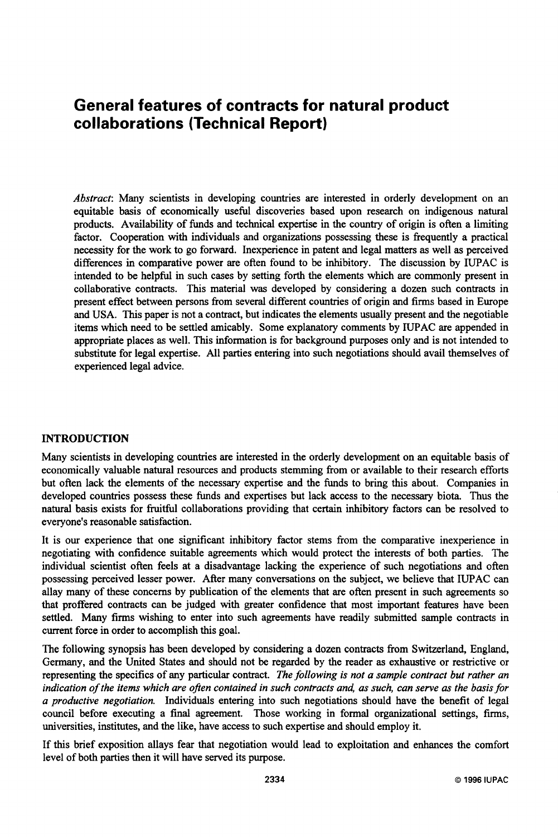## **General features of contracts for natural product collaborations (Technical Report)**

*Abstract:* Many scientists in developing countries are interested in orderly development on an equitable basis of economically useful discoveries based upon research on indigenous natural products. Availability of funds and technical expertise in the country of origin is often a limiting factor. Cooperation with individuals and organizations possessing these is frequently a practical necessity for the work to go forward. Inexperience in patent and legal matters **as** well **as** perceived differences in comparative power are often found to be inhibitory. The discussion by IUPAC is intended to be helpful in such cases by setting forth the elements which are commonly present in collaborative contracts. This material was developed by considering a dozen such contracts in present effect between persons from several different countries of origin and firms based in Europe and USA. This paper is not a contract, but indicates the elements usually present and the negotiable items which need to be settled amicably. Some explanatory comments by IUPAC are appended in appropriate places **as** well. This information is for background purposes only and is not intended to substitute for legal expertise. All parties entering into such negotiations should avail themselves of experienced legal advice.

#### **INTRODUCTION**

Many scientists in developing countries are interested in the orderly development on an equitable basis of economically valuable natural resources and products stemming from or available to their research efforts but often lack the elements of the necessary expertise and the finds to bring this about. Companies in developed countries possess these funds and expertises but lack access to the necessary biota. Thus the natural basis exists for fruitful collaborations providing that certain inhibitory factors can be resolved to everyone's reasonable satisfaction.

It is our experience that one significant inhibitory factor stems from the comparative inexperience in negotiating with confidence suitable agreements which would protect the interests of both parties. The individual scientist often feels at a disadvantage lacking the experience of such negotiations and often possessing perceived lesser power. After many conversations on the subject, we believe that IUPAC can allay many of these concerns by publication of the elements that are often present in such agreements so that proffered contracts can be judged with greater confidence that most important features have been settled. Many firms wishing to enter into such agreements have readily submitted sample contracts in current force in order to accomplish this goal.

The following synopsis has been developed by considering a dozen contracts from Switzerland, England, Germany, and the United States and should not be regarded by the reader **as** exhaustive or restrictive or representing the specifics of any particular contract. *The following is not a sample contract but rather an indication of the items which are often contained in such contracts and, as such, can serve as the basis for a productive negotiation.* Individuals entering into such negotiations should have the benefit of legal council before executing a final agreement. Those working in formal organizational settings, firms, universities, institutes, and the like, have access to such expertise and should employ it.

If this brief exposition allays fear that negotiation would lead to exploitation and enhances the comfort level of both parties then it will have served its purpose.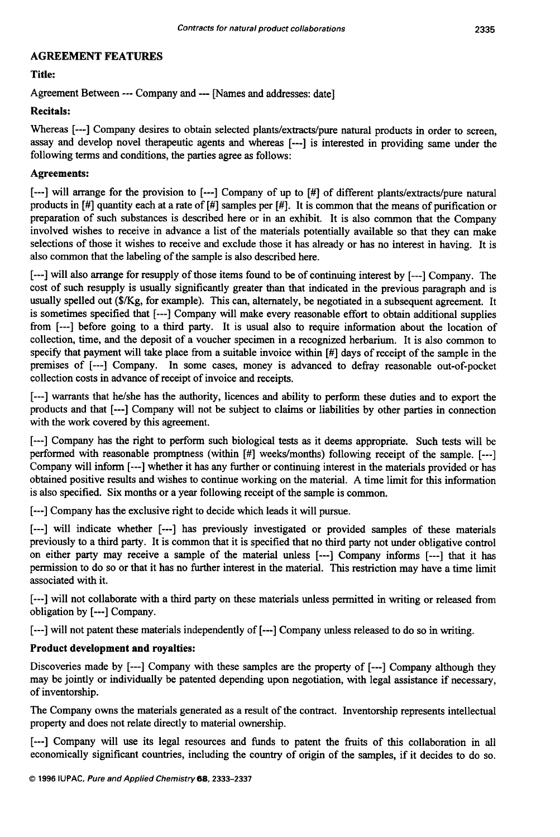#### **AGREEMENT FEATURES**

**Title:** 

Agreement Between --- Company and --- [Names and addresses: date]

#### **Recitals:**

Whereas [---] Company desires to obtain selected plants/extracts/pure natural products in order to screen, assay and develop novel therapeutic agents and whereas [---I is interested in providing same under the following terms and conditions, the parties agree **as** follows:

#### **Agreements:**

[---I will arrange for the provision to [---I Company of up to [#] of different plants/extracts/pure natural products in [#] quantity each at a rate of [#] samples per [#I. It is common that the means of purification or preparation of such substances is described here or in an exhibit. It is also common that the Company involved wishes to receive in advance a list of the materials potentially available so that they can make selections of those it wishes to receive and exclude those it has already or has no interest in having. It is also common that the labeling of the sample is also described here.

[---] will also arrange for resupply of those items found to be of continuing interest by [---] Company. The cost of such resupply is usually significantly greater than that indicated in the previous paragraph and is usually spelled out (\$/Kg, for example). This can, alternately, be negotiated in a subsequent agreement. It is sometimes specified that [---I Company will make every reasonable effort to obtain additional supplies from [---I before going to a third party. It is usual also to require information about the location of collection, time, and the deposit of a voucher specimen in a recognized herbarium. It is also common to specify that payment will take place from a suitable invoice within [#] days of receipt of the sample in the premises of [---I Company. In some cases, money is advanced to defray reasonable out-of-pocket collection costs in advance of receipt of invoice and receipts.

[---] warrants that he/she has the authority, licences and ability to perform these duties and to export the products and that [---I Company will not be subject to claims or liabilities by other parties in connection with the work covered by this agreement.

[---I Company has the right to perform such biological tests **as** it deems appropriate. Such tests will be performed with reasonable promptness (within [#] weeks/months) following receipt of the sample. *[--3*  Company will inform [---I whether it has any further or continuing interest in the materials provided or has obtained positive results and wishes to continue working on the material. A time limit for this information is also specified. Six months or a year following receipt of the sample is common.

[---I Company has the exclusive right to decide which leads it will pursue.

[---I will indicate whether [---I has previously investigated or provided samples of these materials previously to a third party. It is common that it is specified that no third party not under obligative control on either party may receive a sample of the material unless [---I Company informs [---I that it has permission to do so or that it has no further interest in the material. This restriction may have a time limit associated with it.

[---I will not collaborate with a third party on these materials unless permitted in writing or released from obligation by [---I Company.

[---I will not patent these materials independently of [---I Company unless released to do so in writing.

#### **Product development and royalties:**

Discoveries made by [---] Company with these samples are the property of [---] Company although they may be jointly or individually be patented depending upon negotiation, with legal assistance if necessary, of inventorship.

The Company owns the materials generated **as** a result of the contract. Inventorship represents intellectual property and does not relate directly to material ownership.

[---] Company will use its legal resources and funds to patent the fruits of this collaboration in all economically significant countries, including the country of origin of the samples, if it decides to do so.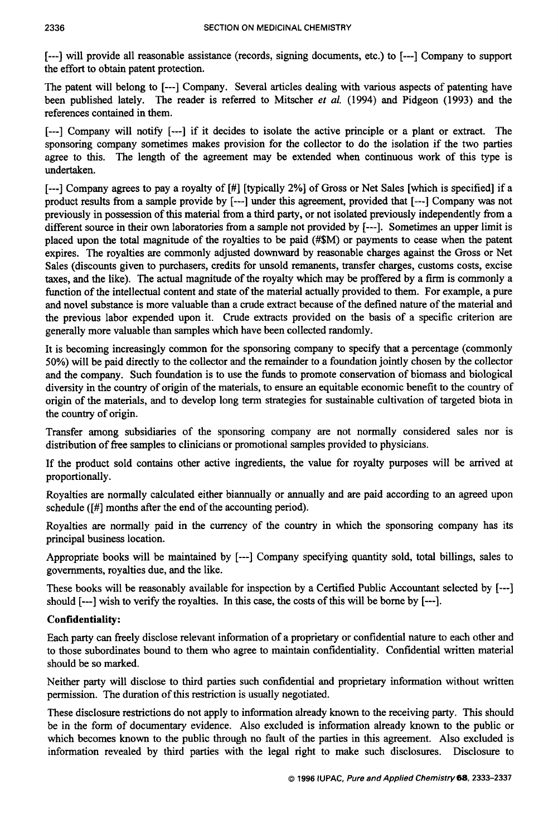[---] will provide all reasonable assistance (records, signing documents, etc.) to [---] Company to support the effort to obtain patent protection.

The patent will belong to [---I Company. Several articles dealing with various aspects of patenting have been published lately. The reader is referred to Mitscher *et* al. (1994) and Pidgeon (1993) and the references contained in them.

[---I Company will notify [---I if it decides to isolate the active principle or a plant or extract. The sponsoring company sometimes makes provision for the collector to do the isolation if the two parties agree to this. The length of the agreement may be extended when continuous work of this type is undertaken.

[---I Company agrees to pay a royalty of [#] [typically 2%] of Gross or Net Sales [which is specified] if a product results from a sample provide by [---I under this agreement, provided that [---I Company was not previously in possession of this material from a third party, or not isolated previously independently from a different source in their own laboratories from a sample not provided by [---]. Sometimes an upper limit is placed upon the total magnitude of the royalties to be paid (#\$M) or payments to cease when the patent expires. The royalties are commonly adjusted downward by reasonable charges against the Gross or Net Sales (discounts given to purchasers, credits for unsold remanents, transfer charges, customs costs, excise taxes, and the like). The actual magnitude of the royalty which may be proffered by a firm is commonly a function of the intellectual content and state of the material actually provided to them. For example, a pure and novel substance is more valuable than a crude extract because of the defined nature of the material and the previous labor expended upon it. Crude extracts provided on the basis of a specific criterion are generally more valuable than samples which have been collected randomly.

It is becoming increasingly common for the sponsoring company to specify that a percentage (commonly 50%) will be paid directly to the collector and the remainder to a foundation jointly chosen by the collector and the company. Such foundation is to use the **funds** to promote conservation of biomass and biological diversity in the country of origin of the materials, to ensure an equitable economic benefit to the country of origin of the materials, and to develop long term strategies for sustainable cultivation of targeted biota in the country of origin.

Transfer among subsidiaries of the sponsoring company are not normally considered sales nor is distribution of free samples to clinicians or promotional samples provided to physicians.

If the product sold contains other active ingredients, the value for royalty purposes will be anived at proportionally.

Royalties are normally calculated either biannually or annually and are paid according to an agreed upon schedule ([#] months after the end of the accounting period).

Royalties are normally paid in the currency of the country in which the sponsoring company has its principal business location.

Appropriate books will be maintained by [---I Company specifying quantity sold, total billings, sales to governments, royalties due, and the like.

These books will be reasonably available for inspection by a Certified Public Accountant selected by [---I should [---I wish to verify the royalties. In this case, the costs of this will be borne by [---I.

#### Confidentiality:

Each party can freely disclose relevant information of a proprietary or confidential nature to each other and to those subordinates bound to them who agree to maintain confidentiality. Confidential written material should be so marked.

Neither party will disclose to third parties such confidential and proprietary information without written permission. The duration of this restriction is usually negotiated.

These disclosure restrictions do not apply to information already known to the receiving party. This should be in the form of documentary evidence. Also excluded is information already known to the public or which becomes known to the public through no fault of the parties in this agreement. Also excluded is information revealed by third parties with the legal right to make such disclosures. Disclosure to